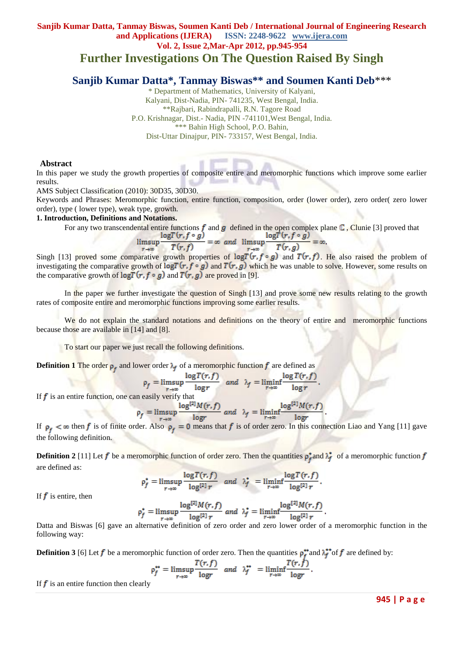# **Sanjib Kumar Datta, Tanmay Biswas, Soumen Kanti Deb / International Journal of Engineering Research and Applications (IJERA) ISSN: 2248-9622 www.ijera.com Vol. 2, Issue 2,Mar-Apr 2012, pp.945-954 Further Investigations On The Question Raised By Singh**

# **Sanjib Kumar Datta\*, Tanmay Biswas\*\* and Soumen Kanti Deb**\*\*\*

\* Department of Mathematics, University of Kalyani, Kalyani, Dist-Nadia, PIN- 741235, West Bengal, India. \*\*Rajbari, Rabindrapalli, R.N. Tagore Road P.O. Krishnagar, Dist.- Nadia, PIN -741101,West Bengal, India. \*\*\* Bahin High School, P.O. Bahin, Dist-Uttar Dinajpur, PIN- 733157, West Bengal, India.

#### **Abstract**

In this paper we study the growth properties of composite entire and meromorphic functions which improve some earlier results.

AMS Subject Classification (2010): 30D35, 30D30.

Keywords and Phrases: Meromorphic function, entire function, composition, order (lower order), zero order( zero lower order), type ( lower type), weak type, growth.

#### **1. Introduction, Definitions and Notations.**

For any two transcendental entire functions  $f$  and  $g$  defined in the open complex plane  $\mathbb C$ , Clunie [3] proved that

$$
\limsup_{r \to \infty} \frac{\log l(r, f \circ g)}{T(r, f)} = \infty \text{ and } \limsup_{r \to \infty} \frac{\log l(r, f \circ g)}{T(r, g)} = \infty
$$

Singh [13] proved some comparative growth properties of  $\log T(r, f \circ g)$  and  $T(r, f)$ . He also raised the problem of investigating the comparative growth of  $\log T(r, f \circ g)$  and  $T(r, g)$  which he was unable to solve. However, some results on the comparative growth of  $\log T(r, f \circ g)$  and  $T(r, g)$  are proved in [9].

In the paper we further investigate the question of Singh [13] and prove some new results relating to the growth rates of composite entire and meromorphic functions improving some earlier results.

We do not explain the standard notations and definitions on the theory of entire and meromorphic functions because those are available in [14] and [8].

To start our paper we just recall the following definitions.

**Definition 1** The order  $\rho_f$  and lower order  $\lambda_f$  of a meromorphic function f are defined as

$$
\rho_f = \limsup_{r \to \infty} \frac{\log T(r, f)}{\log r} \quad \text{and} \quad \lambda_f = \liminf_{r \to \infty} \frac{\log T(r, f)}{\log r}
$$
  
easily verify that

If  $f$  is an entire function, one can

$$
\rho_f = \limsup_{r \to \infty} \frac{\log^{14} M(r, f)}{\log r} \text{ and } \lambda_f = \liminf_{r \to \infty} \frac{\log^{14} M(r, f)}{\log r}
$$

If  $\rho_f < \infty$  then f is of finite order. Also  $\rho_f = 0$  means that f is of order zero. In this connection Liao and Yang [11] gave the following definition.

**Definition 2** [11] Let  $f$  be a meromorphic function of order zero. Then the quantities  $\rho_f^*$  and  $\lambda_f^*$  of a meromorphic function  $f$ are defined as:

$$
\rho_f^* = \limsup_{r \to \infty} \frac{\log T(r, f)}{\log^{[2]} r} \quad \text{and} \quad \lambda_f^* = \liminf_{r \to \infty} \frac{\log T(r, f)}{\log^{[2]} r}
$$

If  $f$  is entire, then

$$
\rho_f^* = \limsup_{r \to \infty} \frac{\log^{[2]} M(r, f)}{\log^{[2]} r} \text{ and } \lambda_f^* = \liminf_{r \to \infty} \frac{\log^{[2]} M(r, f)}{\log^{[2]} r}
$$

Datta and Biswas [6] gave an alternative definition of zero order and zero lower order of a meromorphic function in the following way:

**Definition 3** [6] Let  $f$  be a meromorphic function of order zero. Then the quantities  $\rho_f^*$  and  $\lambda_f^*$  of  $f$  are defined by:

$$
\rho_f^{**} = \limsup_{r \to \infty} \frac{T(r, f)}{\log r} \quad \text{and} \quad \lambda_f^{**} = \liminf_{r \to \infty} \frac{T(r, f)}{\log r}.
$$

If  $f$  is an entire function then clearly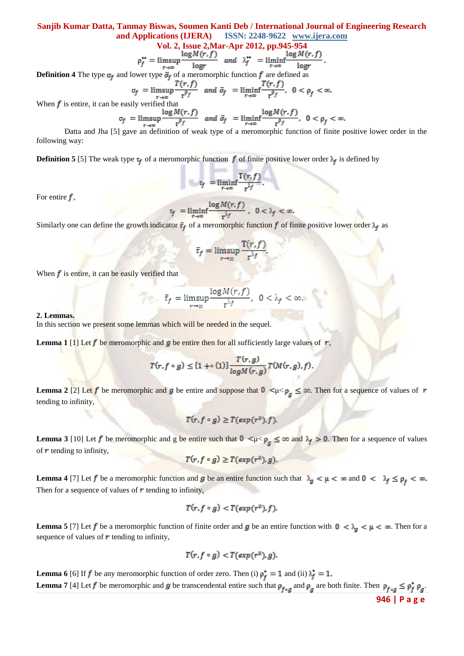Vol. 2, Issue 2, Mar-Apr 2012, pp.945-954  

$$
\rho_f^{**} = \limsup \frac{\log M(r, f)}{\log r} \quad and \quad \lambda_f^{**} = \liminf \frac{\log M(r, f)}{\log r}.
$$

**Definition 4** The type  $\sigma_f$  and lower type  $\bar{\sigma}_f$  of a meromorphic function  $f$  are defined as

$$
\sigma_f = \limsup_{r \to \infty} \frac{T(r, f)}{r^{\rho_f}} \quad \text{and} \quad \bar{\sigma}_f = \liminf_{r \to \infty} \frac{T(r, f)}{r^{\rho_f}}, \quad 0 < \rho_f < \infty.
$$

When  $f$  is entire, it can be easily verified that

$$
\sigma_f = \limsup_{r \to \infty} \frac{\log M(r, f)}{r^{\rho_f}} \quad \text{and} \quad \bar{\sigma}_f = \liminf_{r \to \infty} \frac{\log M(r, f)}{r^{\rho_f}}, \quad 0 < \rho_f < \infty
$$

Datta and Jha [5] gave an definition of weak type of a meromorphic function of finite positive lower order in the following way:

**Definition 5** [5] The weak type  $\tau_f$  of a meromorphic function  $f$  of finite positive lower order  $\lambda_f$  is defined by

$$
\tau_f = \liminf_{r \to \infty} \frac{T(r, f)}{r^{\lambda_f}}.
$$

For entire  $f$ ,

$$
\tau_f = \liminf_{r \to \infty} \frac{\log M(r, f)}{r^{\lambda_f}}, \quad 0 < \lambda_f < \infty.
$$

Similarly one can define the growth indicator  $\bar{\tau}_f$  of a meromorphic function f of finite positive lower order  $\lambda_f$  as

$$
\bar{\tau}_f = \limsup_{r \to \infty} \frac{\mathrm{T}(r, f)}{\mathrm{r}^{\lambda_f}}.
$$

When  $f$  is entire, it can be easily verified that

$$
\bar{\tau}_f = \limsup_{r \to \infty} \frac{\log M(r, f)}{r^{\lambda_f}}, \ \ 0 < \lambda_f < \infty.
$$

#### **2. Lemmas.**

In this section we present some lemmas which will be needed in the sequel.

**Lemma 1** [1] Let f be meromorphic and g be entire then for all sufficiently large values of r,

$$
T(r,f\circ g)\leq \{1+\circ(1)\}\frac{T(r,g)}{\log M(r,g)}T(M(r,g),f).
$$

**Lemma 2** [2] Let f be meromorphic and g be entire and suppose that  $0 \lt \mu \lt \rho_a \le \infty$ . Then for a sequence of values of r tending to infinity,

$$
T(r, f \circ g) \geq T(\exp(r^{\mu}), f)
$$

**Lemma 3** [10] Let f be meromorphic and g be entire such that  $0 \le \mu \le \rho_a \le \infty$  and  $\lambda_f > 0$ . Then for a sequence of values of  $\boldsymbol{r}$  tending to infinity,

$$
T(r,f\circ g)\geq T(\exp(r^{\mu}),g).
$$

**Lemma 4** [7] Let **f** be a meromorphic function and **g** be an entire function such that  $\lambda_g < \mu < \infty$  and  $0 < \lambda_f \le \rho_f < \infty$ . Then for a sequence of values of  $\mathbf r$  tending to infinity,

$$
T(r, f \circ g) < T(\exp(r^{\mu}), f).
$$

**Lemma 5** [7] Let  $f$  be a meromorphic function of finite order and  $g$  be an entire function with  $0 < \lambda_g < \mu < \infty$ . Then for a sequence of values of  $\boldsymbol{r}$  tending to infinity,

$$
T(r,f\circ g)
$$

**Lemma 6** [6] If **f** be any meromorphic function of order zero. Then (i)  $\rho_f^* = 1$  and (ii)  $\lambda_f^* = 1$ . **Lemma 7** [4] Let f be meromorphic and g be transcendental entire such that  $\rho_{f \circ g}$  and  $\rho_g$  are both finite. Then  $\rho_{f \circ g} \le \rho_f^* \rho_g$ .

**946 | P a g e**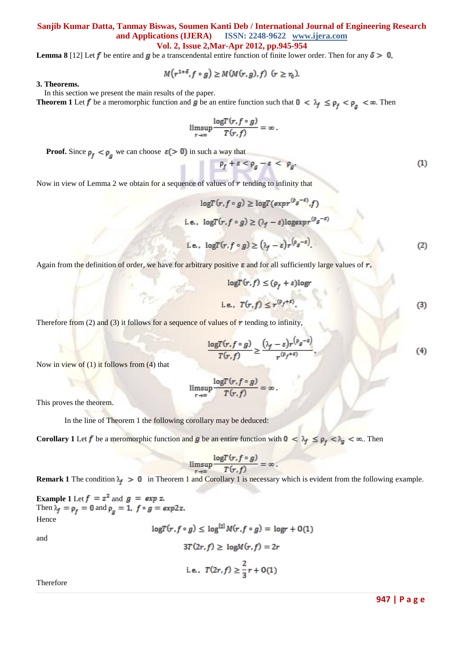**Lemma 8** [12] Let f be entire and g be a transcendental entire function of finite lower order. Then for any  $\delta > 0$ ,

$$
M(r^{1+\delta}, f \circ g) \geq M(M(r, g), f) \ \ (r \geq r_0).
$$

**3. Theorems.**

In this section we present the main results of the paper.

**Theorem 1** Let f be a meromorphic function and g be an entire function such that  $0 < \lambda_f \le \rho_f < \rho_a < \infty$ . Then

$$
\limsup_{r\to\infty}\frac{\log T(r,f\circ g)}{T(r,f)}=\infty.
$$

**Proof.** Since  $\rho_f < \rho_g$  we can choose  $\varepsilon > 0$  in such a way that

$$
\rho_f + \varepsilon < \rho_g - \varepsilon < \rho_g. \tag{1}
$$

Now in view of Lemma 2 we obtain for a sequence of values of  $\bm{r}$  tending to infinity that

$$
\log T(r, f \circ g) \ge \log T(\exp r^{(\rho_g - \varepsilon)}, f)
$$
  
i.e., 
$$
\log T(r, f \circ g) \ge (\lambda_f - \varepsilon) \log \exp r^{(\rho_g - \varepsilon)}
$$
  
i.e., 
$$
\log T(r, f \circ g) \ge (\lambda_f - \varepsilon) r^{(\rho_g - \varepsilon)}.
$$
 (2)

Again from the definition of order, we have for arbitrary positive  $\varepsilon$  and for all sufficiently large values of  $r$ ,

$$
\log T(r, f) \leq (\rho_f + \varepsilon) \log r
$$
  
i.e.,  $T(r, f) \leq r^{(\rho_f + \varepsilon)}$ . (3)

Therefore from (2) and (3) it follows for a sequence of values of  $\boldsymbol{r}$  tending to infinity

$$
\frac{\log T(r, f \circ g)}{T(r, f)} \ge \frac{(\lambda_f - \varepsilon) r^{(\rho_g - \varepsilon)}}{r^{(\rho_f + \varepsilon)}}.
$$
\n(4)

Now in view of (1) it follows from (4) that

$$
\limsup_{r \to \infty} \frac{\log T(r, f \circ g)}{T(r, f)} = \infty
$$

This proves the theorem.

In the line of Theorem 1 the following corollary may be deduced:

**Corollary 1** Let f be a meromorphic function and g be an entire function with  $0 < \lambda_f \le \rho_f < \lambda_g < \infty$ .. Then

$$
\limsup_{r \to \infty} \frac{\log T(r, f \circ g)}{T(r, f)} = \infty.
$$

**Remark 1** The condition  $\lambda_f > 0$  in Theorem 1 and Corollary 1 is necessary which is evident from the following example.

**Example 1** Let  $f = z^2$  and  $g = exp z$ . Then  $\lambda_f = \rho_f = 0$  and  $\rho_q = 1$ ,  $f \circ g = exp 2z$ . Hence

and

$$
logT(r, f \circ g) \le log^{[2]}M(r, f \circ g) = logr + O(1)
$$
  

$$
3T(2r, f) \ge logM(r, f) = 2r
$$
  
i.e., 
$$
T(2r, f) \ge \frac{2}{3}r + O(1)
$$

Therefore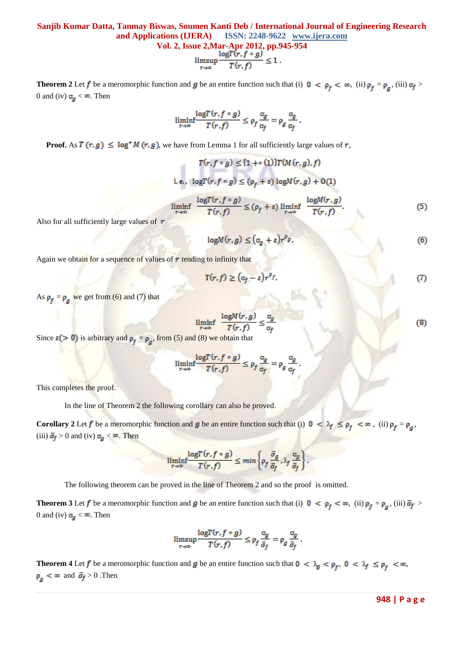$$
\text{ssue 2, Mar-Apr 2012, pp.945} \underset{r \to \infty}{\text{long}} \frac{\log T(r, f \circ g)}{T(r, f)} \le 1 \, .
$$

**Theorem 2** Let f be a meromorphic function and g be an entire function such that (i)  $0 < \rho_f < \infty$ , (ii)  $\rho_f = \rho_g$ , (iii)  $\sigma_f >$ 0 and (iv)  $\sigma_g < \infty$ . Then

$$
\liminf_{r \to \infty} \frac{\log T(r, f \circ g)}{T(r, f)} \le \rho_f \frac{\sigma_g}{\sigma_f} = \rho_g \frac{\sigma_g}{\sigma_f}.
$$

**Proof.** As  $T(r, g) \leq \log^+ M(r, g)$ , we have from Lemma 1 for all sufficiently large values of r,

$$
T(r, f \circ g) \leq \{1 + \circ (1)\} T(M(r, g), f)
$$
  
i.e., 
$$
\log T(r, f \circ g) \leq (\rho_f + \varepsilon) \log M(r, g) + O(1)
$$
  

$$
\liminf_{r \to \infty} \frac{\log T(r, f \circ g)}{T(r, f)} \leq (\rho_f + \varepsilon) \liminf_{r \to \infty} \frac{\log M(r, g)}{T(r, f)}.
$$
 (5)

Also for all sufficiently large values of  $r$ 

$$
\log M(r, g) \leq (\sigma_g + \varepsilon) r^{\rho_g}.
$$
 (6)

Again we obtain for a sequence of values of  $r$  tending to infinity that

$$
\mathbf{T}(r,f) \ge (\sigma_f - \varepsilon) r^{\rho_f}.\tag{7}
$$

As  $\rho_f = \rho_g$  we get from (6) and (7) that

$$
\liminf_{r \to \infty} \frac{\log M(r, g)}{T(r, f)} \le \frac{\sigma_g}{\sigma_f}
$$
\n(8)

Since  $\epsilon$  (> 0) is arbitrary and  $\rho_f = \rho_a$ , from (5) and (8) we obtain that

$$
\liminf_{r \to \infty} \frac{\log T(r, f \circ g)}{T(r, f)} \le \rho_f \frac{\sigma_g}{\sigma_f} = \rho_g \frac{\sigma_g}{\sigma_f}
$$

This completes the proof.

In the line of Theorem 2 the following corollary can also be proved.

**Corollary 2** Let f be a meromorphic function and g be an entire function such that (i)  $0 < \lambda_f \le \rho_f < \infty$ , (ii)  $\rho_f = \rho_a$ , (iii)  $\bar{\sigma}_f > 0$  and (iv)  $\sigma_g < \infty$ . Then

$$
\liminf_{r\to\infty}\frac{\log T(r,f\circ g)}{T(r,f)}\leq \min\left\{\rho_f\,\frac{\bar{\sigma}_g}{\bar{\sigma}_f},\lambda_f\,\frac{\sigma_g}{\bar{\sigma}_f}\right\}
$$

The following theorem can be proved in the line of Theorem 2 and so the proof is omitted.

**Theorem 3** Let f be a meromorphic function and g be an entire function such that (i)  $0 < \rho_f < \infty$ , (ii)  $\rho_f = \rho_a$ , (iii)  $\bar{\sigma}_f >$ 0 and (iv)  $\sigma_{q} < \infty$ . Then

$$
\limsup_{r \to \infty} \frac{\log T(r, f \circ g)}{T(r, f)} \le \rho_f \frac{\sigma_g}{\bar{\sigma}_f} = \rho_g \frac{\sigma_g}{\bar{\sigma}_f}.
$$

**Theorem 4** Let f be a meromorphic function and g be an entire function such that  $0 < \lambda_g < \rho_f$ ,  $0 < \lambda_f \le \rho_f < \infty$ ,  $\rho_{q} < \infty$  and  $\bar{\sigma}_{f} > 0$ . Then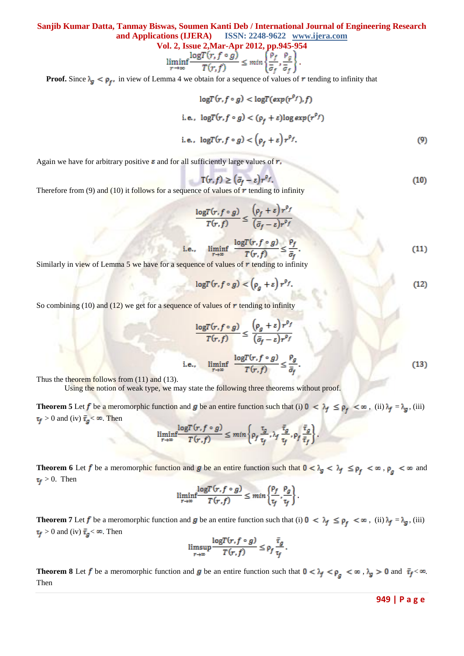Vol. 2, Issue 2, Mar-Apr 2012, pp.945-954  
\n
$$
\liminf_{r \to \infty} \frac{\log T(r, f \circ g)}{T(r, f)} \le \min \left\{ \frac{\rho_f}{\bar{\sigma}_f}, \frac{\rho_g}{\bar{\sigma}_f} \right\}
$$

**Proof.** Since  $\lambda_{g} < \rho_{f}$ , in view of Lemma 4 we obtain for a sequence of values of r tending to infinity that

$$
\log T(r, f \circ g) < \log T(\exp(r^{rf}), f)
$$
\ni.e.,  $\log T(r, f \circ g) < (\rho_f + \varepsilon) \log \exp(r^{\rho_f})$ 

\ni.e.,  $\log T(r, f \circ g) < (\rho_f + \varepsilon) r^{\rho_f}$ .

\n(9)

Again we have for arbitrary positive  $\varepsilon$  and for all sufficiently large values of  $r$ ,

$$
\mathbf{T}(r,f) \ge (\bar{\sigma}_f - \varepsilon) r^{\rho_f}.\tag{10}
$$

Therefore from (9) and (10) it follows for a sequence of values of  $\bm{r}$  tending to infinity

$$
\frac{\log T(r, f \circ g)}{T(r, f)} \le \frac{\left(\rho_f + \varepsilon\right) r^{\rho_f}}{\left(\bar{\sigma}_f - \varepsilon\right) r^{\rho_f}}
$$
\n
$$
\text{e., } \liminf_{r \to \infty} \frac{\log T(r, f \circ g)}{T(r, f)} \le \frac{\rho_f}{\bar{\sigma}_f}.\tag{11}
$$

Similarly in view of Lemma 5 we have for a sequence of values of  $r$  tending to infinity

i.

$$
\log T(r, f \circ g) < \left(\rho_g + \varepsilon\right) r^{\rho_f}.\tag{12}
$$

So combining (10) and (12) we get for a sequence of values of  $r$  tending to infinity

$$
\frac{\log T(r, f \circ g)}{T(r, f)} \le \frac{\left(\rho_g + \varepsilon\right) r^{\rho_f}}{\left(\bar{\sigma}_f - \varepsilon\right) r^{\rho_f}}
$$
\ni.e., 
$$
\liminf_{r \to \infty} \frac{\log T(r, f \circ g)}{T(r, f)} \le \frac{\rho_g}{\bar{\sigma}_f}.
$$
\n(13)

Thus the theorem follows from (11) and (13).

Using the notion of weak type, we may state the following three theorems without proof.

**Theorem 5** Let f be a meromorphic function and g be an entire function such that (i)  $0 < \lambda_f \le \rho_f < \infty$ , (ii)  $\lambda_f = \lambda_g$ , (iii)  $\tau_f > 0$  and (iv)  $\bar{\tau}_g < \infty$ . Then

$$
\liminf_{r \to \infty} \frac{\log T(r, f \circ g)}{T(r, f)} \le \min \left\{ \rho_f \frac{\tau_g}{\tau_f}, \lambda_f \frac{\bar{\tau}_g}{\tau_f}, \rho_f \frac{\bar{\tau}_g}{\bar{\tau}_f} \right\}
$$

**Theorem 6** Let f be a meromorphic function and g be an entire function such that  $0 < \lambda_g < \lambda_f \le \rho_f < \infty$ ,  $\rho_g < \infty$  and  $\tau_f > 0$ . Then

$$
\liminf_{r \to \infty} \frac{\log T(r, f \circ g)}{T(r, f)} \leq \min \left\{ \frac{\rho_f}{\tau_f}, \frac{\rho_g}{\tau_f} \right\}.
$$

**Theorem 7** Let f be a meromorphic function and g be an entire function such that (i)  $0 < \lambda_f \le \rho_f < \infty$ , (ii)  $\lambda_f = \lambda_g$ , (iii)  $\tau_f > 0$  and (iv)  $\bar{\tau}_g < \infty$ . Then

$$
\limsup_{r \to \infty} \frac{\log T(r, f \circ g)}{T(r, f)} \le \rho_f \frac{\bar{\tau}_g}{\tau_f}.
$$

**Theorem 8** Let f be a meromorphic function and g be an entire function such that  $0 < \lambda_f < \rho_g < \infty$ ,  $\lambda_g > 0$  and  $\bar{\tau}_f < \infty$ . Then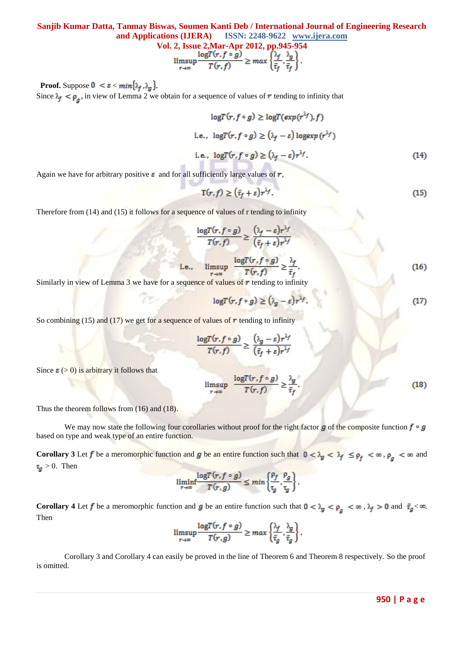Vol. 2, Issue 2, Mar-Apr 2012, pp.945-954  
\n
$$
\limsup_{r \to \infty} \frac{\log T(r, f \circ g)}{T(r, f)} \ge \max \left\{ \frac{\lambda_f}{\bar{\tau}_f}, \frac{\lambda_g}{\bar{\tau}_f} \right\}.
$$

**Proof.** Suppose  $0 < \varepsilon < min\{\lambda_f, \lambda_g\}$ . Since  $\lambda_f < \rho_a$ , in view of Lemma 2 we obtain for a sequence of values of r tending to infinity that

$$
\log T(r, f \circ g) \ge \log T(\exp(r^{\lambda_f}), f)
$$
  
i.e., 
$$
\log T(r, f \circ g) \ge (\lambda_f - \varepsilon) \log \exp(r^{\lambda_f})
$$
  
i.e., 
$$
\log T(r, f \circ g) \ge (\lambda_f - \varepsilon) r^{\lambda_f}.
$$
 (14)

Again we have for arbitrary positive  $\varepsilon$  and for all sufficiently large values of  $r$ ,

$$
\mathbf{T}(r,f) \ge (\bar{\tau}_f + \varepsilon) r^{\lambda f}.\tag{15}
$$

Therefore from (14) and (15) it follows for a sequence of values of r tending to infinity

$$
\frac{\log T(r, f \circ g)}{T(r, f)} \ge \frac{(\lambda_f - \varepsilon)r^{\lambda_f}}{(\bar{\tau}_f + \varepsilon)r^{\lambda_f}}
$$
  
i.e., 
$$
\limsup_{r \to \infty} \frac{\log T(r, f \circ g)}{T(r, f)} \ge \frac{\lambda_f}{\bar{\tau}_f}.
$$
 (16)

 $11 - 10$ 

Similarly in view of Lemma 3 we have for a sequence of values of  $r$  tending to infinity

$$
\log T(r, f \circ g) \ge (\lambda_g - \varepsilon) r^{\lambda_f}.
$$
 (17)

So combining (15) and (17) we get for a sequence of values of  $\bm{r}$  tending to infinity

$$
\frac{\log T(r, f \circ g)}{T(r, f)} \ge \frac{(\lambda_g - \varepsilon) r^{\lambda_j}}{(\bar{\tau}_f + \varepsilon) r^{\lambda_j}}
$$

Since  $\epsilon$  (> 0) is arbitrary it follows that

$$
\limsup_{r \to \infty} \frac{\log T(r, f \circ g)}{T(r, f)} \ge \frac{\lambda_g}{\bar{\tau}_f}.
$$
\n(18)

Thus the theorem follows from (16) and (18).

We may now state the following four corollaries without proof for the right factor  $g$  of the composite function  $f \circ g$ based on type and weak type of an entire function.

**Corollary 3** Let f be a meromorphic function and g be an entire function such that  $0 < \lambda_g < \lambda_f \le \rho_f < \infty$ ,  $\rho_g < \infty$  and  $\tau_g > 0$ . Then

$$
\underset{r\rightarrow\infty}{\liminf}\frac{\log T(r,f\circ g)}{T(r,g)}\leq \min\left\{\frac{\rho_f}{\tau_g},\frac{\rho_g}{\tau_g}\right\}
$$

**Corollary 4** Let f be a meromorphic function and g be an entire function such that  $0 < \lambda_g < \rho_g < \infty$ ,  $\lambda_f > 0$  and  $\bar{\tau}_g < \infty$ . Then

$$
\limsup_{r \to \infty} \frac{\log T(r, f \circ g)}{T(r, g)} \ge \max \left\{ \frac{\lambda_f}{\bar{t}_g}, \frac{\lambda_g}{\bar{t}_g} \right\}.
$$

Corollary 3 and Corollary 4 can easily be proved in the line of Theorem 6 and Theorem 8 respectively. So the proof is omitted.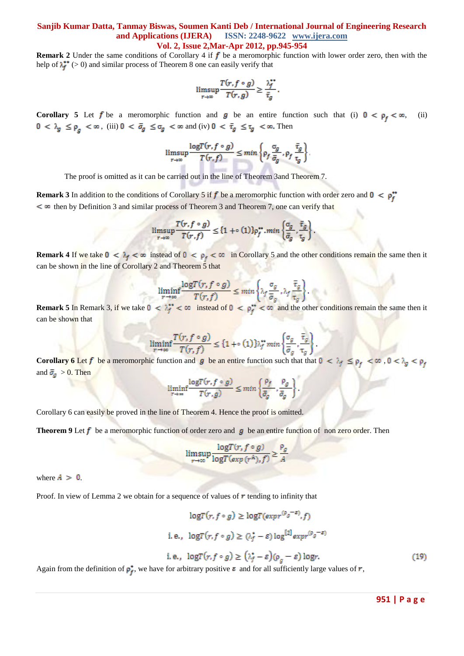**Remark 2** Under the same conditions of Corollary 4 if  $f$  be a meromorphic function with lower order zero, then with the help of  $\lambda_f^*$  (> 0) and similar process of Theorem 8 one can easily verify that

$$
\limsup_{r \to \infty} \frac{T(r, f \circ g)}{T(r, g)} \ge \frac{\lambda_f^{**}}{\bar{\tau}_g}.
$$

**Corollary 5** Let f be a meromorphic function and g be an entire function such that (i)  $0 < \rho_f < \infty$ , (ii)  $0 < \lambda_g \le \rho_g < \infty$ , (iii)  $0 < \bar{\sigma}_g \le \sigma_g < \infty$  and (iv)  $0 < \bar{\tau}_g \le \tau_g < \infty$ . Then

$$
\limsup_{r \to \infty} \frac{\log T(r, f \circ g)}{T(r, f)} \leq \min \left\{ \rho_f \frac{\sigma_g}{\bar{\sigma}_g}, \rho_f \frac{\bar{\tau}_g}{\tau_g} \right\}.
$$

The proof is omitted as it can be carried out in the line of Theorem 3and Theorem 7.

**Remark 3** In addition to the conditions of Corollary 5 if f be a meromorphic function with order zero and  $0 < \rho_f^*$  $\leq$   $\infty$  then by Definition 3 and similar process of Theorem 3 and Theorem 7, one can verify that

$$
\limsup_{r \to \infty} \frac{T(r, f \circ g)}{T(r, f)} \le \{1 + \circ (1)\} \rho_f^{\star \star} \cdot \min \left\{ \frac{\sigma_g}{\bar{\sigma}_g} \cdot \frac{\bar{\tau}_g}{\tau_g} \right\}
$$

**Remark 4** If we take  $0 < \lambda_f < \infty$  instead of  $0 < \rho_f < \infty$  in Corollary 5 and the other conditions remain the same then it can be shown in the line of Corollary 2 and Theorem 5 that

$$
\liminf_{r \to \infty} \frac{\log T(r, f \circ g)}{T(r, f)} \le \min \left\{ \lambda_f \frac{\sigma_g}{\overline{\sigma}_g}, \lambda_f \frac{\overline{\tau}_g}{\tau_g} \right\}
$$

**Remark 5** In Remark 3, if we take  $0 < \lambda_f^* < \infty$  instead of  $0 < \rho_f^* < \infty$  and the other conditions remain the same then it can be shown that

$$
\liminf_{r \to \infty} \frac{T(r, f \circ g)}{T(r, f)} \le \{1 + \circ (1)\} \lambda_f^* \min \left\{\frac{\sigma_g}{\overline{\sigma}_g}, \frac{\overline{\tau}_g}{\tau_g}\right\}
$$

**Corollary 6** Let f be a meromorphic function and g be an entire function such that that  $0 < \lambda_f \le \rho_f < \infty$ , and  $\bar{\sigma}_q > 0$ . Then

$$
\liminf_{r\to\infty}\frac{\log T(r,f\circ g)}{T(r,g)}\leq \min\left\{\frac{\rho_f}{\bar\sigma_g},\frac{\rho_g}{\bar\sigma_g}\right\}
$$

Corollary 6 can easily be proved in the line of Theorem 4. Hence the proof is omitted.

**Theorem 9** Let  $f$  be a meromorphic function of order zero and  $g$  be an entire function of non zero order. Then

$$
\limsup_{r \to \infty} \frac{\log T(r, f \circ g)}{\log T(\exp(r^A), f)} \ge \frac{\rho_i}{A}
$$

where  $A > 0$ .

Proof. In view of Lemma 2 we obtain for a sequence of values of  $\boldsymbol{r}$  tending to infinity that

$$
\log T(r, f \circ g) \ge \log T(\exp r^{(\rho_g - \varepsilon)}, f)
$$
  
i.e., 
$$
\log T(r, f \circ g) \ge (\lambda_f^* - \varepsilon) \log^{[2]} \exp r^{(\rho_g - \varepsilon)}
$$
  
i.e., 
$$
\log T(r, f \circ g) \ge (\lambda_f^* - \varepsilon)(\rho_g - \varepsilon) \log r.
$$
 (19)

Again from the definition of  $\rho_f^*$ , we have for arbitrary positive  $\varepsilon$  and for all sufficiently large values of  $r$ ,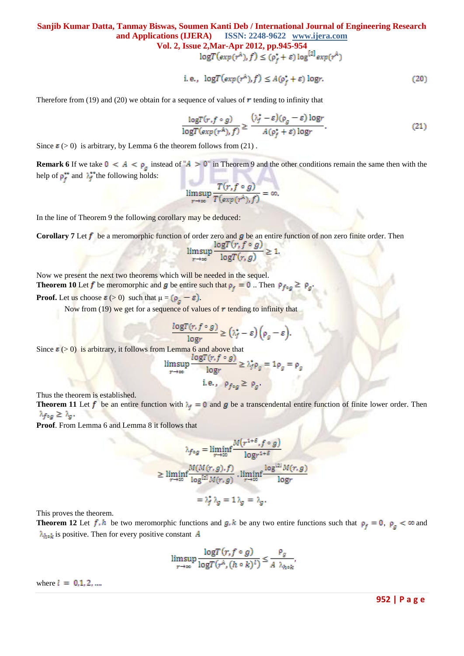**Vol. 2, Issue 2, Mar-Apr 2012, pp.945-954**<br> $logT(exp(r^A), f) \le (p_f^* + \varepsilon) log^{[2]} exp(r^A)$ 

i.e., 
$$
\log T(\exp(r^A), f) \le A(\rho_f^* + \varepsilon) \log r. \tag{20}
$$

Therefore from (19) and (20) we obtain for a sequence of values of  $\bm{r}$  tending to infinity that

$$
\frac{\log T(r, f \circ g)}{\log T(\exp(r^A), f)} \ge \frac{(\lambda_f^* - \varepsilon)(\rho_g - \varepsilon) \log r}{A(\rho_f^* + \varepsilon) \log r}.
$$
\n(21)

Since  $\epsilon$  (> 0) is arbitrary, by Lemma 6 the theorem follows from (21).

**Remark 6** If we take  $0 < A < \rho_g$  instead of " $A > 0$ " in Theorem 9 and the other conditions remain the same then with the help of  $\rho_f^{\bullet\bullet}$  and  $\lambda_f^{\bullet\bullet}$  the following holds:

$$
\limsup_{r\to\infty}\frac{T(r,f\circ g)}{T(\exp(r^A),f)}=\infty
$$

In the line of Theorem 9 the following corollary may be deduced:

**Corollary 7** Let  $f$  be a meromorphic function of order zero and  $g$  be an entire function of non zero finite order. Then

$$
\limsup_{r \to \infty} \frac{\log l(r, f \circ g)}{\log T(r, g)} \ge 1.
$$

Now we present the next two theorems which will be needed in the sequel. **Theorem 10** Let f be meromorphic and g be entire such that  $\rho_f = 0$ . Then  $\rho_{f \circ g} \ge$ 

**Proof.** Let us choose  $\varepsilon$  (> 0) such that  $\mu = (\rho_g - \varepsilon)$ .

Now from (19) we get for a sequence of values of  $r$  tending to infinity that

$$
\frac{\log T(r, f \circ g)}{\log r} \ge (\lambda_f^* - \varepsilon) \left(\rho_g - \varepsilon\right)
$$

Since  $\epsilon$  (> 0) is arbitrary, it follows from Lemma 6 and above that

$$
\limsup_{r \to \infty} \frac{\log T(r, f \circ g)}{\log r} \ge \lambda_f^* \rho_g = 1 \rho_g = \rho_g
$$
  
i.e.,  $\rho_{f \circ g} \ge \rho_g$ .

Thus the theorem is established.

**Theorem 11** Let f be an entire function with  $\lambda_f = 0$  and g be a transcendental entire function of finite lower order. Then  $\lambda_{f \circ g} \geq \lambda_g$ .

**Proof**. From Lemma 6 and Lemma 8 it follows that

$$
\lambda_{f \circ g} = \liminf_{r \to \infty} \frac{M(r^{1+\delta}, f \circ g)}{\log r^{1+\delta}}
$$
  
\n
$$
\geq \liminf_{r \to \infty} \frac{M(M(r, g), f)}{\log^{[2]} M(r, g)} \cdot \liminf_{r \to \infty} \frac{\log^{[2]} M(r, g)}{\log r}
$$
  
\n
$$
= \lambda_f^* \lambda_g = 1 \lambda_g = \lambda_g.
$$

This proves the theorem.

**Theorem 12** Let  $f \cdot h$  be two meromorphic functions and  $g \cdot k$  be any two entire functions such that  $\rho_f = 0$ ,  $\rho_g < \infty$  and  $\lambda_{h \circ k}$  is positive. Then for every positive constant A

$$
\limsup_{r \to \infty} \frac{\log T(r, f \circ g)}{\log T(r^{\mathcal{A}}, (h \circ k)^{l})} \leq \frac{\rho_g}{A \lambda_{h \circ k}}
$$

where  $l = 0, 1, 2, ...$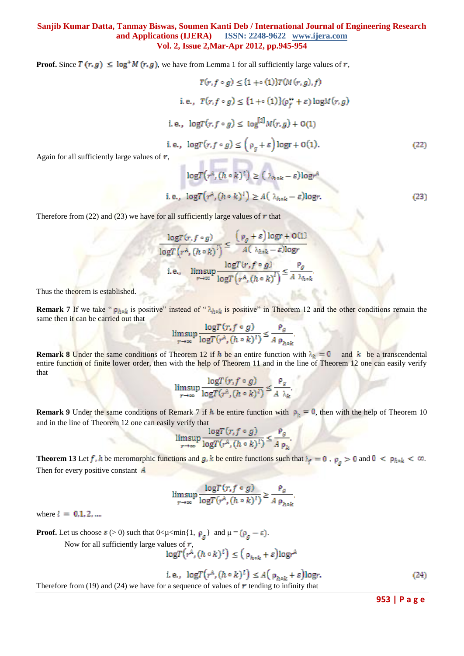**Proof.** Since  $T(r, g) \leq \log^+ M(r, g)$ , we have from Lemma 1 for all sufficiently large values of r,

$$
T(r, f \circ g) \leq \{1 + \circ (1)\}T(M(r, g), f)
$$
  
\ni.e.,  $T(r, f \circ g) \leq \{1 + \circ (1)\}(\rho_f^* + \varepsilon) \log M(r, g)$   
\ni.e.,  $\log T(r, f \circ g) \leq \log^{[2]}M(r, g) + O(1)$   
\ni.e.,  $\log T(r, f \circ g) \leq (\rho_g + \varepsilon) \log r + O(1)$ . (22)  
\nr,

Again for all sufficiently large values of ,

$$
\log T(r^{\lambda}, (h \circ k)^l) \ge (\lambda_{h \circ k} - \varepsilon) \log r^{\lambda}
$$
  
e., 
$$
\log T(r^{\lambda}, (h \circ k)^l) \ge A(\lambda_{h \circ k} - \varepsilon) \log r.
$$
 (23)

Therefore from (22) and (23) we have for all sufficiently large values of  $r$  that

$$
\frac{\log T(r, f \circ g)}{\log T(r^A, (h \circ k)^l)} \le \frac{(\rho_g + \varepsilon) \log r + O(1)}{A(\lambda_{h \circ k} - \varepsilon) \log r}
$$
  
i.e., 
$$
\limsup_{r \to \infty} \frac{\log T(r, f \circ g)}{\log T(r^A, (h \circ k)^l)} \le \frac{\rho_g}{A \lambda_{h \circ k}}
$$

Thus the theorem is established.

**Remark 7** If we take " $\rho_{h_0k}$  is positive" instead of " $\lambda_{h_0k}$  is positive" in Theorem 12 and the other conditions remain the same then it can be carried out that

$$
\limsup_{r \to \infty} \frac{\log T(r, f \circ g)}{\log T(r^{\lambda}, (h \circ k)^{l})} \le \frac{\rho_g}{A \rho_{h \circ k}}
$$

**Remark 8** Under the same conditions of Theorem 12 if h be an entire function with  $\lambda_n = 0$  and k be a transcendental entire function of finite lower order, then with the help of Theorem 11 and in the line of Theorem 12 one can easily verify that

$$
\limsup_{r \to \infty} \frac{\log T(r, f \circ g)}{\log T(r^{\lambda}, (h \circ k)^{l})} \leq \frac{\rho_g}{A \lambda_k}.
$$

**Remark 9** Under the same conditions of Remark 7 if h be entire function with  $\rho_h = 0$ , then with the help of Theorem 10 and in the line of Theorem 12 one can easily verify that

$$
\limsup_{r \to \infty} \frac{\log T(r, f \circ g)}{\log T(r^{\lambda}, (h \circ k)^{l})} \le \frac{\rho_g}{A \rho_k}.
$$

**Theorem 13** Let f, h be meromorphic functions and g, k be entire functions such that  $\lambda_f = 0$ ,  $\rho_g > 0$  and  $0 < \rho_{h \circ k} < \infty$ . Then for every positive constant  $\vec{A}$ 

$$
\limsup_{r \to \infty} \frac{\log T(r, f \circ g)}{\log T(r^A, (h \circ k)^I)} \ge \frac{\rho_g}{A \rho_{h \circ k}}
$$

where  $l = 0, 1, 2, ...$ 

**Proof.** Let us choose  $\varepsilon$  (> 0) such that  $0 < \mu < \min\{1, \rho_{\sigma}\}\$  and  $\mu = (\rho_{\sigma} - \varepsilon)$ .

Now for all sufficiently large values of  $r$ ,

$$
\log T(r^{\mathcal{A}}, (h \circ k)^{\mathcal{I}}) \leq (\rho_{h \circ k} + \varepsilon) \log r^{\mathcal{A}}
$$

$$
\text{e., } \log T\big(r^{\mathcal{A}}, (h \circ k)^{\mathcal{I}}\big) \le A\big(\rho_{h \circ k} + \varepsilon\big) \log r. \tag{24}
$$

Therefore from (19) and (24) we have for a sequence of values of  $\boldsymbol{r}$  tending to infinity that

i.

**953 | P a g e**